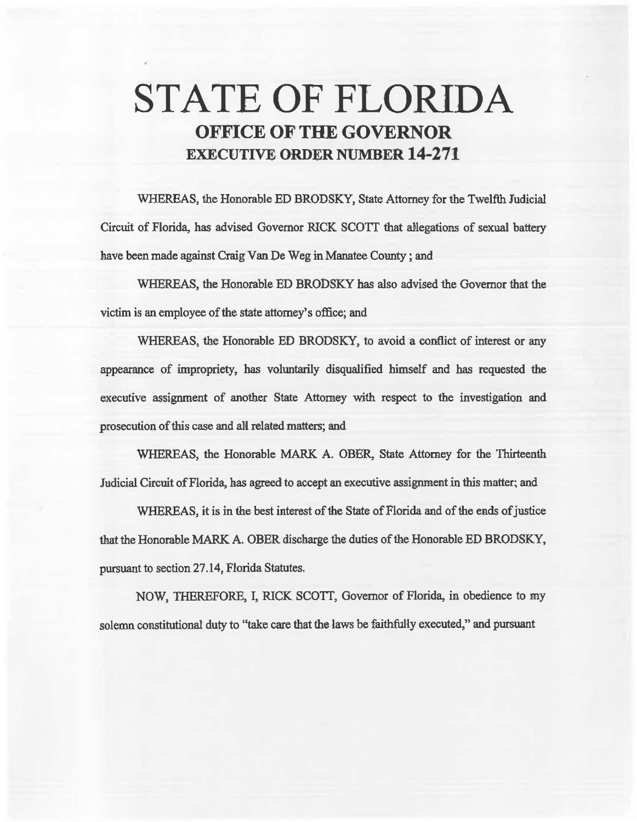## STATE OF FLORIDA OFFICE OF THE GOVERNOR EXECUTIVE ORDER NUMBER 14-271

WHEREAS, the Honorable ED BRODSKY, State Attorney for the Twelfth Judicial Circuit of Florida, has advised Governor RICK SCOTT that allegations of sexual battery have been made against Craig Van De Weg in Manatee County; and

WHEREAS, the Honorable ED BRODSKY has also advised the Governor that the victim is an employee of the state attorney's office; and

WHEREAS, the Honorable ED BRODSKY, to avoid a conflict of interest or any appearance of impropriety, has volwitarily disqualified himself and has requested the executive assignment of another State Attorney with respect to the investigation and prosecution of this case and all related matters; and

WHEREAS, the Honorable MARK A. OBER, State Attorney for the Thirteenth Judicial Circuit of Florida, has agreed to accept an executive assignment in this matter~ and

WHEREAS, it is in the best interest of the State of Florida and of the ends of justice 1hat the Honorable MARK A. OBER discharge the duties of the Honorable ED BRODSKY, pursuant to section 27.14, Florida Statutes.

NOW, THEREFORE, I, RICK SCOTT, Governor of Florida, in obedience to my solemn constitutional duty to ''take care that the laws be faithfully executed," and pursuant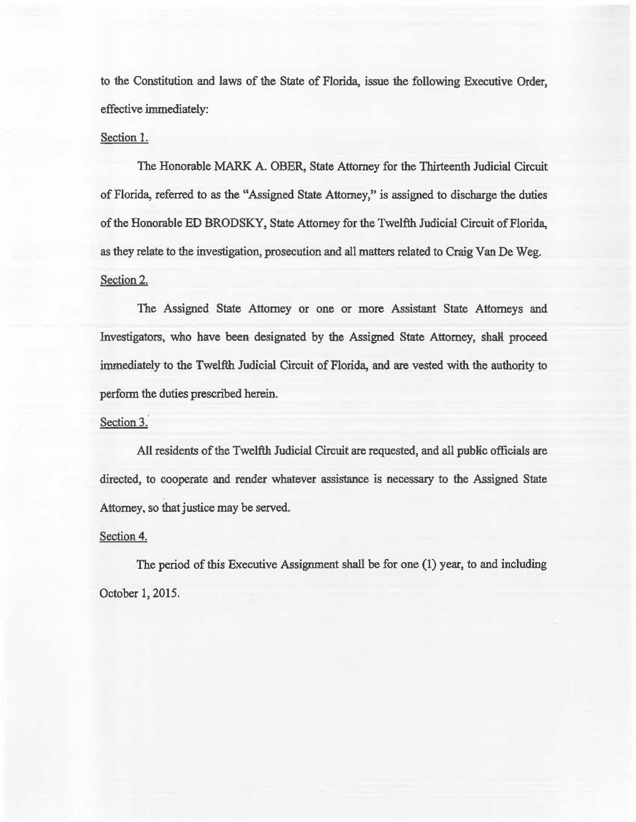to the Constitution and laws of the State of Florida, issue the following Executive Order, effective immediately:

## Section 1.

The Honorable MARK A. OBER, State Attorney for the Thirteenth Judicial Circuit of Florida, referred to as the "Assigned State Attorney," is assigned to discharge the duties of the Honorable ED BRODSKY, State Attorney for the Twelfth Judicial Circuit of Florida. as they relate to the investigation, prosecution and all matters related to Craig Van De Weg. Section 2.

The Assigned State Attorney or one or more Assistant State Attorneys and Investigators, who have been designated by the Assigned State Attorney, shall proceed immediately to the Twelfth Judicial Circuit of Florida, and are vested with the authority to perform the duties prescribed herein.

## Section 3.

All residents of the Twelfth Judicial Circuit are requested, and all public officials are directed, to cooperate and render whatever assistance is necessary to the Assigned State Attorney. so that justice may be served.

## Section 4.

The period of this Executive Assignment shall be for one (1) year, to and including October 1, 2015.